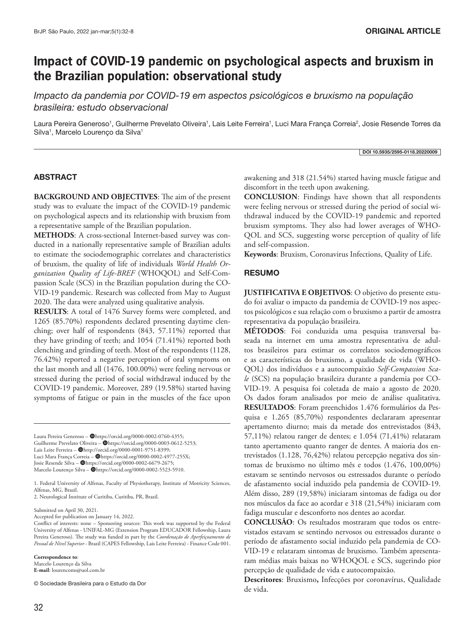# **Impact of COVID-19 pandemic on psychological aspects and bruxism in the Brazilian population: observational study**

*Impacto da pandemia por COVID-19 em aspectos psicológicos e bruxismo na população brasileira: estudo observacional* 

Laura Pereira Generoso<sup>1</sup>, Guilherme Prevelato Oliveira<sup>1</sup>, Lais Leite Ferreira<sup>1</sup>, Luci Mara França Correia<sup>2</sup>, Josie Resende Torres da Silva<sup>1</sup>, Marcelo Lourenço da Silva<sup>1</sup>

#### DOI 10.5935/2595-0118.20220009

### ABSTRACT

**BACKGROUND AND OBJECTIVES**: The aim of the present study was to evaluate the impact of the COVID-19 pandemic on psychological aspects and its relationship with bruxism from a representative sample of the Brazilian population.

**METHODS**: A cross-sectional Internet-based survey was conducted in a nationally representative sample of Brazilian adults to estimate the sociodemographic correlates and characteristics of bruxism, the quality of life of individuals *World Health Organization Quality of Life-BREF* (WHOQOL) and Self-Compassion Scale (SCS) in the Brazilian population during the CO-VID-19 pandemic. Research was collected from May to August 2020. The data were analyzed using qualitative analysis.

**RESULTS**: A total of 1476 Survey forms were completed, and 1265 (85.70%) respondents declared presenting daytime clenching; over half of respondents (843, 57.11%) reported that they have grinding of teeth; and 1054 (71.41%) reported both clenching and grinding of teeth. Most of the respondents (1128, 76.42%) reported a negative perception of oral symptoms on the last month and all (1476, 100.00%) were feeling nervous or stressed during the period of social withdrawal induced by the COVID-19 pandemic. Moreover, 289 (19.58%) started having symptoms of fatigue or pain in the muscles of the face upon

Laura Pereira Generoso - @https://orcid.org/0000-0002-0760-4355; Guilherme Prevelato Oliveira - @https://orcid.org/0000-0003-0612-5253; Lais Leite Ferreira - @http://orcid.org/0000-0001-9751-8399; Luci Mara França Correia - @https://orcid.org/0000-0002-4977-255X; Josie Resende Silva - @https://orcid.org/0000-0002-6679-2675; Marcelo Lourenço Silva - @https://orcid.org/0000-0002-5523-5910.

1. Federal University of Alfenas, Faculty of Physiotherapy, Institute of Motricity Sciences, Alfenas, MG, Brazil.

2. Neurological Institute of Curitiba, Curitiba, PR, Brazil.

Submitted on April 30, 2021.

Accepted for publication on January 14, 2022.

**Correspondence to**: Marcelo Lourenço da Silva **E-mail**: lourencoms@uol.com.br

© Sociedade Brasileira para o Estudo da Dor

awakening and 318 (21.54%) started having muscle fatigue and discomfort in the teeth upon awakening.

**CONCLUSION**: Findings have shown that all respondents were feeling nervous or stressed during the period of social withdrawal induced by the COVID-19 pandemic and reported bruxism symptoms. They also had lower averages of WHO-QOL and SCS, suggesting worse perception of quality of life and self-compassion.

**Keywords**: Bruxism, Coronavirus Infections, Quality of Life.

### RESUMO

**JUSTIFICATIVA E OBJETIVOS**: O objetivo do presente estudo foi avaliar o impacto da pandemia de COVID-19 nos aspectos psicológicos e sua relação com o bruxismo a partir de amostra representativa da população brasileira.

**MÉTODOS**: Foi conduzida uma pesquisa transversal baseada na internet em uma amostra representativa de adultos brasileiros para estimar os correlatos sociodemográficos e as características do bruxismo, a qualidade de vida (WHO-QOL) dos indivíduos e a autocompaixão *Self-Compassion Scale* (SCS) na população brasileira durante a pandemia por CO-VID-19. A pesquisa foi coletada de maio a agosto de 2020. Os dados foram analisados por meio de análise qualitativa. **RESULTADOS**: Foram preenchidos 1.476 formulários da Pesquisa e 1.265 (85,70%) respondentes declararam apresentar apertamento diurno; mais da metade dos entrevistados (843, 57,11%) relatou ranger de dentes; e 1.054 (71,41%) relataram tanto apertamento quanto ranger de dentes. A maioria dos entrevistados (1.128, 76,42%) relatou percepção negativa dos sintomas de bruxismo no último mês e todos (1.476, 100,00%) estavam se sentindo nervosos ou estressados durante o período de afastamento social induzido pela pandemia de COVID-19. Além disso, 289 (19,58%) iniciaram sintomas de fadiga ou dor nos músculos da face ao acordar e 318 (21,54%) iniciaram com fadiga muscular e desconforto nos dentes ao acordar.

**CONCLUSÃO**: Os resultados mostraram que todos os entrevistados estavam se sentindo nervosos ou estressados durante o período de afastamento social induzido pela pandemia de CO-VID-19 e relataram sintomas de bruxismo. Também apresentaram médias mais baixas no WHOQOL e SCS, sugerindo pior percepção de qualidade de vida e autocompaixão.

**Descritores**: Bruxismo**,** Infecções por coronavírus, Qualidade de vida.

Conflict of interests: none – Sponsoring sources: This work was supported by the Federal University of Alfenas - UNIFAL-MG (Extension Program EDUCADOR Fellowship, Laura Pereira Generoso). The study was funded in part by the *Coordenação de Aperfeiçoamento de Pessoal de Nível Superior* - Brazil (CAPES Fellowship, Lais Leite Ferreira) - Finance Code 001.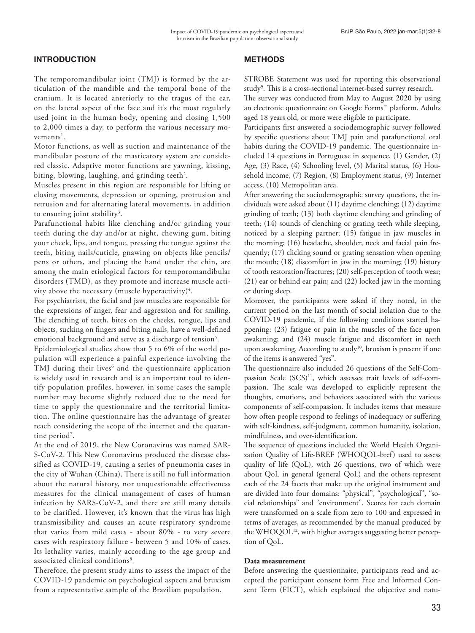### INTRODUCTION

The temporomandibular joint (TMJ) is formed by the articulation of the mandible and the temporal bone of the cranium. It is located anteriorly to the tragus of the ear, on the lateral aspect of the face and it's the most regularly used joint in the human body, opening and closing 1,500 to 2,000 times a day, to perform the various necessary mo $v$ ements<sup>1</sup>.

Motor functions, as well as suction and maintenance of the mandibular posture of the masticatory system are considered classic. Adaptive motor functions are yawning, kissing, biting, blowing, laughing, and grinding teeth $^2\!$ .

Muscles present in this region are responsible for lifting or closing movements, depression or opening, protrusion and retrusion and for alternating lateral movements, in addition to ensuring joint stability<sup>3</sup>.

Parafunctional habits like clenching and/or grinding your teeth during the day and/or at night, chewing gum, biting your cheek, lips, and tongue, pressing the tongue against the teeth, biting nails/cuticle, gnawing on objects like pencils/ pens or others, and placing the hand under the chin, are among the main etiological factors for temporomandibular disorders (TMD), as they promote and increase muscle activity above the necessary (muscle hyperactivity) $^4$ .

For psychiatrists, the facial and jaw muscles are responsible for the expressions of anger, fear and aggression and for smiling. The clenching of teeth, bites on the cheeks, tongue, lips and objects, sucking on fingers and biting nails, have a well-defined emotional background and serve as a discharge of tension<sup>5</sup>.

Epidemiological studies show that 5 to 6% of the world population will experience a painful experience involving the TMJ during their lives<sup>6</sup> and the questionnaire application is widely used in research and is an important tool to identify population profiles, however, in some cases the sample number may become slightly reduced due to the need for time to apply the questionnaire and the territorial limitation. The online questionnaire has the advantage of greater reach considering the scope of the internet and the quarantine period<sup>7</sup>.

At the end of 2019, the New Coronavirus was named SAR-S-CoV-2. This New Coronavirus produced the disease classified as COVID-19, causing a series of pneumonia cases in the city of Wuhan (China). There is still no full information about the natural history, nor unquestionable effectiveness measures for the clinical management of cases of human infection by SARS-CoV-2, and there are still many details to be clarified. However, it's known that the virus has high transmissibility and causes an acute respiratory syndrome that varies from mild cases - about 80% - to very severe cases with respiratory failure - between 5 and 10% of cases. Its lethality varies, mainly according to the age group and associated clinical conditions<sup>8</sup>.

Therefore, the present study aims to assess the impact of the COVID-19 pandemic on psychological aspects and bruxism from a representative sample of the Brazilian population.

### **METHODS**

STROBE Statement was used for reporting this observational study<sup>9</sup>. This is a cross-sectional internet-based survey research.

The survey was conducted from May to August 2020 by using an electronic questionnaire on Google Forms™ platform. Adults aged 18 years old, or more were eligible to participate.

Participants first answered a sociodemographic survey followed by specific questions about TMJ pain and parafunctional oral habits during the COVID-19 pandemic. The questionnaire included 14 questions in Portuguese in sequence, (1) Gender, (2) Age, (3) Race, (4) Schooling level, (5) Marital status, (6) Household income, (7) Region, (8) Employment status, (9) Internet access, (10) Metropolitan area.

After answering the sociodemographic survey questions, the individuals were asked about (11) daytime clenching; (12) daytime grinding of teeth; (13) both daytime clenching and grinding of teeth; (14) sounds of clenching or grating teeth while sleeping, noticed by a sleeping partner; (15) fatigue in jaw muscles in the morning; (16) headache, shoulder, neck and facial pain frequently; (17) clicking sound or grating sensation when opening the mouth; (18) discomfort in jaw in the morning; (19) history of tooth restoration/fractures; (20) self-perception of tooth wear; (21) ear or behind ear pain; and (22) locked jaw in the morning or during sleep.

Moreover, the participants were asked if they noted, in the current period on the last month of social isolation due to the COVID-19 pandemic, if the following conditions started happening: (23) fatigue or pain in the muscles of the face upon awakening; and (24) muscle fatigue and discomfort in teeth upon awakening. According to study<sup>10</sup>, bruxism is present if one of the items is answered "yes".

The questionnaire also included 26 questions of the Self-Compassion Scale  $(SCS)^{11}$ , which assesses trait levels of self-compassion. The scale was developed to explicitly represent the thoughts, emotions, and behaviors associated with the various components of self-compassion. It includes items that measure how often people respond to feelings of inadequacy or suffering with self-kindness, self-judgment, common humanity, isolation, mindfulness, and over-identification.

The sequence of questions included the World Health Organization Quality of Life-BREF (WHOQOL-bref) used to assess quality of life (QoL), with 26 questions, two of which were about QoL in general (general QoL) and the others represent each of the 24 facets that make up the original instrument and are divided into four domains: "physical", "psychological", "social relationships" and "environment". Scores for each domain were transformed on a scale from zero to 100 and expressed in terms of averages, as recommended by the manual produced by the WHOQOL<sup>12</sup>, with higher averages suggesting better perception of QoL.

### **Data measurement**

Before answering the questionnaire, participants read and accepted the participant consent form Free and Informed Consent Term (FICT), which explained the objective and natu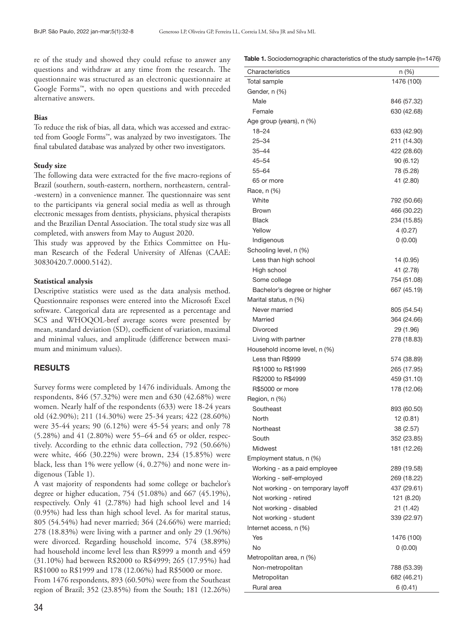re of the study and showed they could refuse to answer any questions and withdraw at any time from the research. The questionnaire was structured as an electronic questionnaire at Google Forms™, with no open questions and with preceded alternative answers.

### **Bias**

To reduce the risk of bias, all data, which was accessed and extracted from Google Forms™, was analyzed by two investigators. The final tabulated database was analyzed by other two investigators.

### **Study size**

The following data were extracted for the five macro-regions of Brazil (southern, south-eastern, northern, northeastern, central- -western) in a convenience manner. The questionnaire was sent to the participants via general social media as well as through electronic messages from dentists, physicians, physical therapists and the Brazilian Dental Association. The total study size was all completed, with answers from May to August 2020.

This study was approved by the Ethics Committee on Human Research of the Federal University of Alfenas (CAAE: 30830420.7.0000.5142).

### **Statistical analysis**

Descriptive statistics were used as the data analysis method. Questionnaire responses were entered into the Microsoft Excel software. Categorical data are represented as a percentage and SCS and WHOQOL-bref average scores were presented by mean, standard deviation (SD), coefficient of variation, maximal and minimal values, and amplitude (difference between maximum and minimum values).

### RESULTS

Survey forms were completed by 1476 individuals. Among the respondents, 846 (57.32%) were men and 630 (42.68%) were women. Nearly half of the respondents (633) were 18-24 years old (42.90%); 211 (14.30%) were 25-34 years; 422 (28.60%) were 35-44 years; 90 (6.12%) were 45-54 years; and only 78 (5.28%) and 41 (2.80%) were 55–64 and 65 or older, respectively. According to the ethnic data collection, 792 (50.66%) were white, 466 (30.22%) were brown, 234 (15.85%) were black, less than 1% were yellow (4, 0.27%) and none were indigenous (Table 1).

A vast majority of respondents had some college or bachelor's degree or higher education, 754 (51.08%) and 667 (45.19%), respectively. Only 41 (2.78%) had high school level and 14 (0.95%) had less than high school level. As for marital status, 805 (54.54%) had never married; 364 (24.66%) were married; 278 (18.83%) were living with a partner and only 29 (1.96%) were divorced. Regarding household income, 574 (38.89%) had household income level less than R\$999 a month and 459 (31.10%) had between R\$2000 to R\$4999; 265 (17.95%) had R\$1000 to R\$1999 and 178 (12.06%) had R\$5000 or more. From 1476 respondents, 893 (60.50%) were from the Southeast region of Brazil; 352 (23.85%) from the South; 181 (12.26%)

Table 1. Sociodemographic characteristics of the study sample (n=1476)

| Characteristics                   | $n (\%)$                 |
|-----------------------------------|--------------------------|
| Total sample                      | 1476 (100)               |
| Gender, n (%)                     |                          |
| Male                              | 846 (57.32)              |
| Female                            | 630 (42.68)              |
| Age group (years), n (%)          |                          |
| $18 - 24$                         | 633 (42.90)              |
| 25–34                             | 211 (14.30)              |
| 35–44                             | 422 (28.60)              |
| $45 - 54$                         | 90 (6.12)                |
| 55–64                             | 78 (5.28)                |
| 65 or more                        | 41 (2.80)                |
| Race, n (%)                       |                          |
| White                             | 792 (50.66)              |
| <b>Brown</b>                      | 466 (30.22)              |
| <b>Black</b>                      | 234 (15.85)              |
| Yellow                            | 4 (0.27)                 |
| Indigenous                        | 0(0.00)                  |
| Schooling level, n (%)            |                          |
| Less than high school             | 14 (0.95)                |
| High school                       | 41 (2.78)                |
| Some college                      | 754 (51.08)              |
| Bachelor's degree or higher       | 667 (45.19)              |
| Marital status, n (%)             |                          |
| Never married                     | 805 (54.54)              |
| Married                           | 364 (24.66)              |
| <b>Divorced</b>                   | 29 (1.96)                |
| Living with partner               | 278 (18.83)              |
| Household income level, n (%)     |                          |
| Less than R\$999                  | 574 (38.89)              |
| R\$1000 to R\$1999                | 265 (17.95)              |
| R\$2000 to R\$4999                | 459 (31.10)              |
| R\$5000 or more                   | 178 (12.06)              |
| Region, n (%)                     |                          |
| Southeast                         |                          |
| North                             | 893 (60.50)<br>12 (0.81) |
| Northeast                         |                          |
| South                             | 38 (2.57)                |
| Midwest                           | 352 (23.85)              |
|                                   | 181 (12.26)              |
| Employment status, n (%)          |                          |
| Working - as a paid employee      | 289 (19.58)              |
| Working - self-employed           | 269 (18.22)              |
| Not working - on temporary layoff | 437 (29.61)              |
| Not working - retired             | 121 (8.20)               |
| Not working - disabled            | 21 (1.42)                |
| Not working - student             | 339 (22.97)              |
| Internet access, n (%)            |                          |
| Yes                               | 1476 (100)               |
| No                                | 0(0.00)                  |
| Metropolitan area, n (%)          |                          |
| Non-metropolitan                  | 788 (53.39)              |
| Metropolitan                      | 682 (46.21)              |
| Rural area                        | 6(0.41)                  |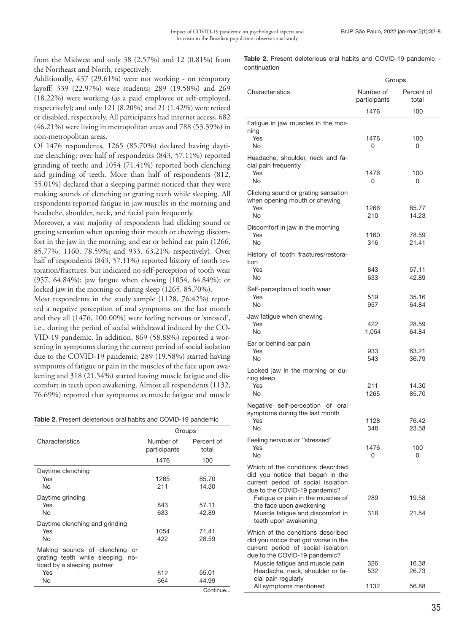from the Midwest and only 38 (2.57%) and 12 (0.81%) from the Northeast and North, respectively.

Additionally, 437 (29.61%) were not working - on temporary layoff; 339 (22.97%) were students; 289 (19.58%) and 269 (18.22%) were working (as a paid employee or self-employed, respectively); and only 121 (8.20%) and 21 (1.42%) were retired or disabled, respectively. All participants had internet access, 682 (46.21%) were living in metropolitan areas and 788 (53.39%) in non-metropolitan areas.

Of 1476 respondents, 1265 (85.70%) declared having daytime clenching; over half of respondents (843, 57.11%) reported grinding of teeth; and 1054 (71.41%) reported both clenching and grinding of teeth. More than half of respondents (812, 55.01%) declared that a sleeping partner noticed that they were making sounds of clenching or grating teeth while sleeping. All respondents reported fatigue in jaw muscles in the morning and headache, shoulder, neck, and facial pain frequently.

Moreover, a vast majority of respondents had clicking sound or grating sensation when opening their mouth or chewing; discomfort in the jaw in the morning; and ear or behind ear pain (1266, 85.77%; 1160, 78.59%; and 933, 63.21% respectively). Over half of respondents (843, 57.11%) reported history of tooth restoration/fractures; but indicated no self-perception of tooth wear (957, 64.84%); jaw fatigue when chewing (1054, 64.84%); or locked jaw in the morning or during sleep (1265, 85.70%).

Most respondents in the study sample (1128, 76.42%) reported a negative perception of oral symptoms on the last month and they all (1476, 100.00%) were feeling nervous or 'stressed', i.e., during the period of social withdrawal induced by the CO-VID-19 pandemic. In addition, 869 (58.88%) reported a worsening in symptoms during the current period of social isolation due to the COVID-19 pandemic; 289 (19.58%) started having symptoms of fatigue or pain in the muscles of the face upon awakening and 318 (21.54%) started having muscle fatigue and discomfort in teeth upon awakening. Almost all respondents (1132, 76.69%) reported that symptoms as muscle fatigue and muscle

Table 2. Present deleterious oral habits and COVID-19 pandemic

|                                                                                                   | Groups                    |                     |  |
|---------------------------------------------------------------------------------------------------|---------------------------|---------------------|--|
| Characteristics                                                                                   | Number of<br>participants | Percent of<br>total |  |
|                                                                                                   | 1476                      | 100                 |  |
| Daytime clenching                                                                                 |                           |                     |  |
| Yes                                                                                               | 1265                      | 85.70               |  |
| No                                                                                                | 211                       | 14.30               |  |
| Daytime grinding                                                                                  |                           |                     |  |
| Yes                                                                                               | 843                       | 57.11               |  |
| No                                                                                                | 633                       | 42.89               |  |
| Daytime clenching and grinding                                                                    |                           |                     |  |
| Yes                                                                                               | 1054                      | 71.41               |  |
| No                                                                                                | 422                       | 28.59               |  |
| Making sounds of clenching or<br>grating teeth while sleeping, no-<br>ticed by a sleeping partner |                           |                     |  |
| <b>Yes</b>                                                                                        | 812                       | 55.01               |  |
| No                                                                                                | 664                       | 44.99               |  |
|                                                                                                   |                           | Continue            |  |

Table 2. Present deleterious oral habits and COVID-19 pandemic continuation

|                                                                                                                                                  | Groups                    |                     |  |
|--------------------------------------------------------------------------------------------------------------------------------------------------|---------------------------|---------------------|--|
| Characteristics                                                                                                                                  | Number of<br>participants | Percent of<br>total |  |
|                                                                                                                                                  | 1476                      | 100                 |  |
| Fatigue in jaw muscles in the mor-                                                                                                               |                           |                     |  |
| ning<br>Yes<br>No                                                                                                                                | 1476<br>0                 | 100<br>0            |  |
| Headache, shoulder, neck and fa-<br>cial pain frequently                                                                                         |                           |                     |  |
| Yes<br><b>No</b>                                                                                                                                 | 1476<br>0                 | 100<br>0            |  |
| Clicking sound or grating sensation<br>when opening mouth or chewing<br>Yes                                                                      | 1266                      | 85.77               |  |
| <b>No</b>                                                                                                                                        | 210                       | 14.23               |  |
| Discomfort in jaw in the morning<br>Yes                                                                                                          | 1160                      | 78.59               |  |
| No                                                                                                                                               | 316                       | 21.41               |  |
| History of tooth fractures/restora-<br>tion                                                                                                      |                           |                     |  |
| Yes<br>No                                                                                                                                        | 843<br>633                | 57.11<br>42.89      |  |
| Self-perception of tooth wear                                                                                                                    |                           |                     |  |
| Yes<br>No                                                                                                                                        | 519<br>957                | 35.16<br>64.84      |  |
| Jaw fatigue when chewing                                                                                                                         |                           |                     |  |
| Yes<br>No                                                                                                                                        | 422<br>1,054              | 28.59<br>64.84      |  |
| Ear or behind ear pain                                                                                                                           |                           |                     |  |
| Yes<br>No                                                                                                                                        | 933<br>543                | 63.21<br>36.79      |  |
| Locked jaw in the morning or du-<br>ring sleep                                                                                                   |                           |                     |  |
| Yes<br>No                                                                                                                                        | 211<br>1265               | 14.30<br>85.70      |  |
| Negative self-perception of oral<br>symptoms during the last month                                                                               |                           |                     |  |
| Yes<br>No.                                                                                                                                       | 1128<br>348               | 76.42<br>23.58      |  |
| Feeling nervous or "stressed"                                                                                                                    |                           |                     |  |
| Yes<br>No.                                                                                                                                       | 1476<br>0                 | 100<br>0            |  |
| Which of the conditions described<br>did you notice that began in the<br>current period of social isolation<br>due to the COVID-19 pandemic?     |                           |                     |  |
| Fatigue or pain in the muscles of                                                                                                                | 289                       | 19.58               |  |
| the face upon awakening<br>Muscle fatigue and discomfort in<br>teeth upon awakening                                                              | 318                       | 21.54               |  |
| Which of the conditions described<br>did you notice that got worse in the<br>current period of social isolation<br>due to the COVID-19 pandemic? |                           |                     |  |
| Muscle fatigue and muscle pain<br>Headache, neck, shoulder or fa-                                                                                | 326<br>532                | 16.38<br>26.73      |  |
| cial pain regularly<br>All symptoms mentioned                                                                                                    | 1132                      | 56.88               |  |
|                                                                                                                                                  |                           |                     |  |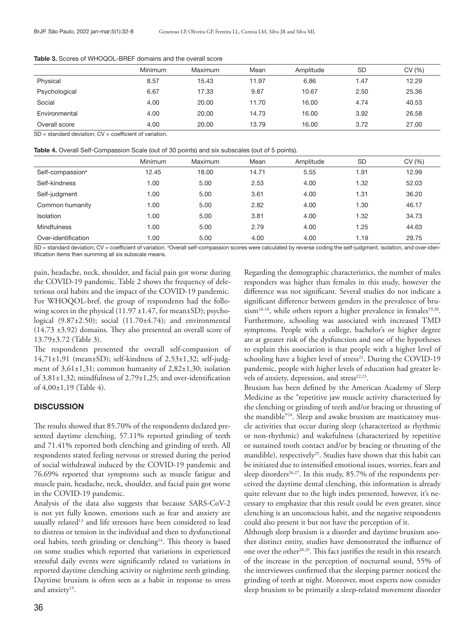|               | Minimum | Maximum | Mean  | Amplitude | <b>SD</b> | CV (%) |
|---------------|---------|---------|-------|-----------|-----------|--------|
| Physical      | 8.57    | 15.43   | 11.97 | 6.86      | 1.47      | 12.29  |
| Psychological | 6.67    | 17.33   | 9.87  | 10.67     | 2.50      | 25.36  |
| Social        | 4.00    | 20.00   | 11.70 | 16.00     | 4.74      | 40.53  |
| Environmental | 4.00    | 20.00   | 14.73 | 16.00     | 3.92      | 26.58  |
| Overall score | 4.00    | 20.00   | 13.79 | 16.00     | 3.72      | 27.00  |

Table 3. Scores of WHOQOL-BREF domains and the overall score

SD = standard deviation; CV = coefficient of variation.

Table 4. Overall Self-Compassion Scale (out of 30 points) and six subscales (out of 5 points).

|                              | <b>Minimum</b> | Maximum | Mean  | Amplitude | <b>SD</b> | CV(%) |
|------------------------------|----------------|---------|-------|-----------|-----------|-------|
| Self-compassion <sup>a</sup> | 12.45          | 18.00   | 14.71 | 5.55      | 1.91      | 12.99 |
| Self-kindness                | 1.00           | 5.00    | 2.53  | 4.00      | 1.32      | 52.03 |
| Self-judgment                | 1.00           | 5.00    | 3.61  | 4.00      | 1.31      | 36.20 |
| Common humanity              | 1.00           | 5.00    | 2.82  | 4.00      | 1.30      | 46.17 |
| Isolation                    | 1.00           | 5.00    | 3.81  | 4.00      | 1.32      | 34.73 |
| <b>Mindfulness</b>           | 1.00           | 5.00    | 2.79  | 4.00      | 1.25      | 44.63 |
| Over-identification          | 1.00           | 5.00    | 4.00  | 4.00      | 1.19      | 29.75 |

SD = standard deviation; CV = coefficient of variation. ªOverall self-compassion scores were calculated by reverse coding the self-judgment, isolation, and over-identification items then summing all six subscale means.

pain, headache, neck, shoulder, and facial pain got worse during the COVID-19 pandemic. Table 2 shows the frequency of deleterious oral habits and the impact of the COVID-19 pandemic. For WHOQOL-bref, the group of respondents had the following scores in the physical (11.97  $\pm$ 1.47, for mean $\pm$ SD); psychological  $(9.87\pm2.50)$ ; social  $(11.70\pm4.74)$ ; and environmental (14.73 ±3.92) domains. They also presented an overall score of 13.79±3.72 (Table 3).

The respondents presented the overall self-compassion of 14,71±1,91 (mean±SD); self-kindness of 2,53±1,32; self-judgment of 3,61±1,31; common humanity of 2,82±1,30; isolation of 3,81±1,32; mindfulness of 2,79±1,25; and over-identification of 4,00±1,19 (Table 4).

### **DISCUSSION**

The results showed that 85.70% of the respondents declared presented daytime clenching, 57.11% reported grinding of teeth and 71.41% reported both clenching and grinding of teeth. All respondents stated feeling nervous or stressed during the period of social withdrawal induced by the COVID-19 pandemic and 76.69% reported that symptoms such as muscle fatigue and muscle pain, headache, neck, shoulder, and facial pain got worse in the COVID-19 pandemic.

Analysis of the data also suggests that because SARS-CoV-2 is not yet fully known, emotions such as fear and anxiety are usually related<sup>13</sup> and life stressors have been considered to lead to distress or tension in the individual and then to dysfunctional oral habits, teeth grinding or clenching<sup>14</sup>. This theory is based on some studies which reported that variations in experienced stressful daily events were significantly related to variations in reported daytime clenching activity or nighttime teeth grinding. Daytime bruxism is often seen as a habit in response to stress and anxiety<sup>15</sup>.

Regarding the demographic characteristics, the number of males responders was higher than females in this study, however the difference was not significant. Several studies do not indicate a significant difference between genders in the prevalence of bru $xism<sup>16-18</sup>$ , while others report a higher prevalence in females<sup>19,20</sup>. Furthermore, schooling was associated with increased TMD symptoms. People with a college, bachelor's or higher degree are at greater risk of the dysfunction and one of the hypotheses to explain this association is that people with a higher level of schooling have a higher level of stress<sup>21</sup>. During the COVID-19 pandemic, people with higher levels of education had greater levels of anxiety, depression, and stress<sup>22,23</sup>.

Bruxism has been defined by the American Academy of Sleep Medicine as the "repetitive jaw muscle activity characterized by the clenching or grinding of teeth and/or bracing or thrusting of the mandible"<sup>24</sup>. Sleep and awake bruxism are masticatory muscle activities that occur during sleep (characterized as rhythmic or non-rhythmic) and wakefulness (characterized by repetitive or sustained tooth contact and/or by bracing or thrusting of the mandible), respectively<sup>25</sup>. Studies have shown that this habit can be initiated due to intensified emotional issues, worries, fears and sleep disorders<sup>26,27</sup>. In this study, 85.7% of the respondents perceived the daytime dental clenching, this information is already quite relevant due to the high index presented, however, it's necessary to emphasize that this result could be even greater, since clenching is an unconscious habit, and the negative respondents could also present it but not have the perception of it.

Although sleep bruxism is a disorder and daytime bruxism another distinct entity, studies have demonstrated the influence of one over the other<sup>28,29</sup>. This fact justifies the result in this research of the increase in the perception of nocturnal sound, 55% of the interviewees confirmed that the sleeping partner noticed the grinding of teeth at night. Moreover, most experts now consider sleep bruxism to be primarily a sleep-related movement disorder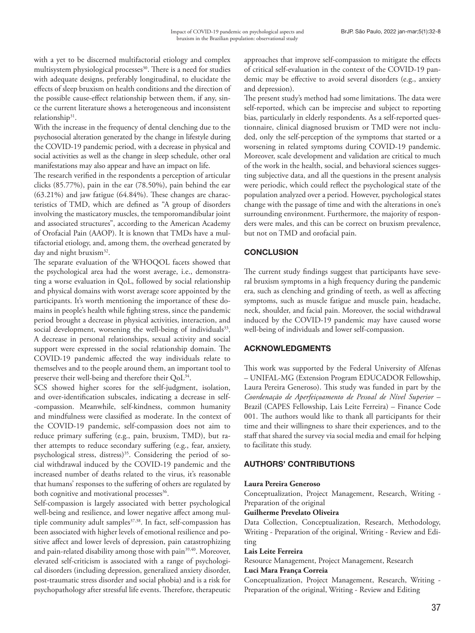with a yet to be discerned multifactorial etiology and complex multisystem physiological processes<sup>30</sup>. There is a need for studies with adequate designs, preferably longitudinal, to elucidate the effects of sleep bruxism on health conditions and the direction of the possible cause-effect relationship between them, if any, since the current literature shows a heterogeneous and inconsistent relationship<sup>31</sup>.

With the increase in the frequency of dental clenching due to the psychosocial alteration generated by the change in lifestyle during the COVID-19 pandemic period, with a decrease in physical and social activities as well as the change in sleep schedule, other oral manifestations may also appear and have an impact on life.

The research verified in the respondents a perception of articular clicks (85.77%), pain in the ear (78.50%), pain behind the ear (63.21%) and jaw fatigue (64.84%). These changes are characteristics of TMD, which are defined as "A group of disorders involving the masticatory muscles, the temporomandibular joint and associated structures", according to the American Academy of Orofacial Pain (AAOP). It is known that TMDs have a multifactorial etiology, and, among them, the overhead generated by day and night bruxism<sup>32</sup>.

The separate evaluation of the WHOQOL facets showed that the psychological area had the worst average, i.e., demonstrating a worse evaluation in QoL, followed by social relationship and physical domains with worst average score appointed by the participants. It's worth mentioning the importance of these domains in people's health while fighting stress, since the pandemic period brought a decrease in physical activities, interaction, and social development, worsening the well-being of individuals<sup>33</sup>. A decrease in personal relationships, sexual activity and social support were expressed in the social relationship domain. The COVID-19 pandemic affected the way individuals relate to themselves and to the people around them, an important tool to preserve their well-being and therefore their QoL<sup>34</sup>.

SCS showed higher scores for the self-judgment, isolation, and over-identification subscales, indicating a decrease in self- -compassion. Meanwhile, self-kindness, common humanity and mindfulness were classified as moderate. In the context of the COVID-19 pandemic, self‐compassion does not aim to reduce primary suffering (e.g., pain, bruxism, TMD), but rather attempts to reduce secondary suffering (e.g., fear, anxiety, psychological stress, distress)<sup>35</sup>. Considering the period of social withdrawal induced by the COVID-19 pandemic and the increased number of deaths related to the virus, it's reasonable that humans' responses to the suffering of others are regulated by both cognitive and motivational processes<sup>36</sup>.

Self-compassion is largely associated with better psychological well-being and resilience, and lower negative affect among multiple community adult samples<sup>37,38</sup>. In fact, self-compassion has been associated with higher levels of emotional resilience and positive affect and lower levels of depression, pain catastrophizing and pain-related disability among those with pain<sup>39,40</sup>. Moreover, elevated self-criticism is associated with a range of psychological disorders (including depression, generalized anxiety disorder, post-traumatic stress disorder and social phobia) and is a risk for psychopathology after stressful life events. Therefore, therapeutic approaches that improve self-compassion to mitigate the effects of critical self-evaluation in the context of the COVID-19 pandemic may be effective to avoid several disorders (e.g., anxiety and depression).

The present study's method had some limitations. The data were self-reported, which can be imprecise and subject to reporting bias, particularly in elderly respondents. As a self-reported questionnaire, clinical diagnosed bruxism or TMD were not included, only the self-perception of the symptoms that started or a worsening in related symptoms during COVID-19 pandemic. Moreover, scale development and validation are critical to much of the work in the health, social, and behavioral sciences suggesting subjective data, and all the questions in the present analysis were periodic, which could reflect the psychological state of the population analyzed over a period. However, psychological states change with the passage of time and with the alterations in one's surrounding environment. Furthermore, the majority of responders were males, and this can be correct on bruxism prevalence, but not on TMD and orofacial pain.

## **CONCLUSION**

The current study findings suggest that participants have several bruxism symptoms in a high frequency during the pandemic era, such as clenching and grinding of teeth, as well as affecting symptoms, such as muscle fatigue and muscle pain, headache, neck, shoulder, and facial pain. Moreover, the social withdrawal induced by the COVID-19 pandemic may have caused worse well-being of individuals and lower self‐compassion.

## ACKNOWLEDGMENTS

This work was supported by the Federal University of Alfenas – UNIFAL-MG (Extension Program EDUCADOR Fellowship, Laura Pereira Generoso). This study was funded in part by the *Coordenação de Aperfeiçoamento de Pessoal de Nível Superior* – Brazil (CAPES Fellowship, Lais Leite Ferreira) – Finance Code 001. The authors would like to thank all participants for their time and their willingness to share their experiences, and to the staff that shared the survey via social media and email for helping to facilitate this study.

## AUTHORS' CONTRIBUTIONS

### **Laura Pereira Generoso**

Conceptualization, Project Management, Research, Writing - Preparation of the original

### **Guilherme Prevelato Oliveira**

Data Collection, Conceptualization, Research, Methodology, Writing - Preparation of the original, Writing - Review and Editing

### **Lais Leite Ferreira**

Resource Management, Project Management, Research

### **Luci Mara França Correia**

Conceptualization, Project Management, Research, Writing - Preparation of the original, Writing - Review and Editing